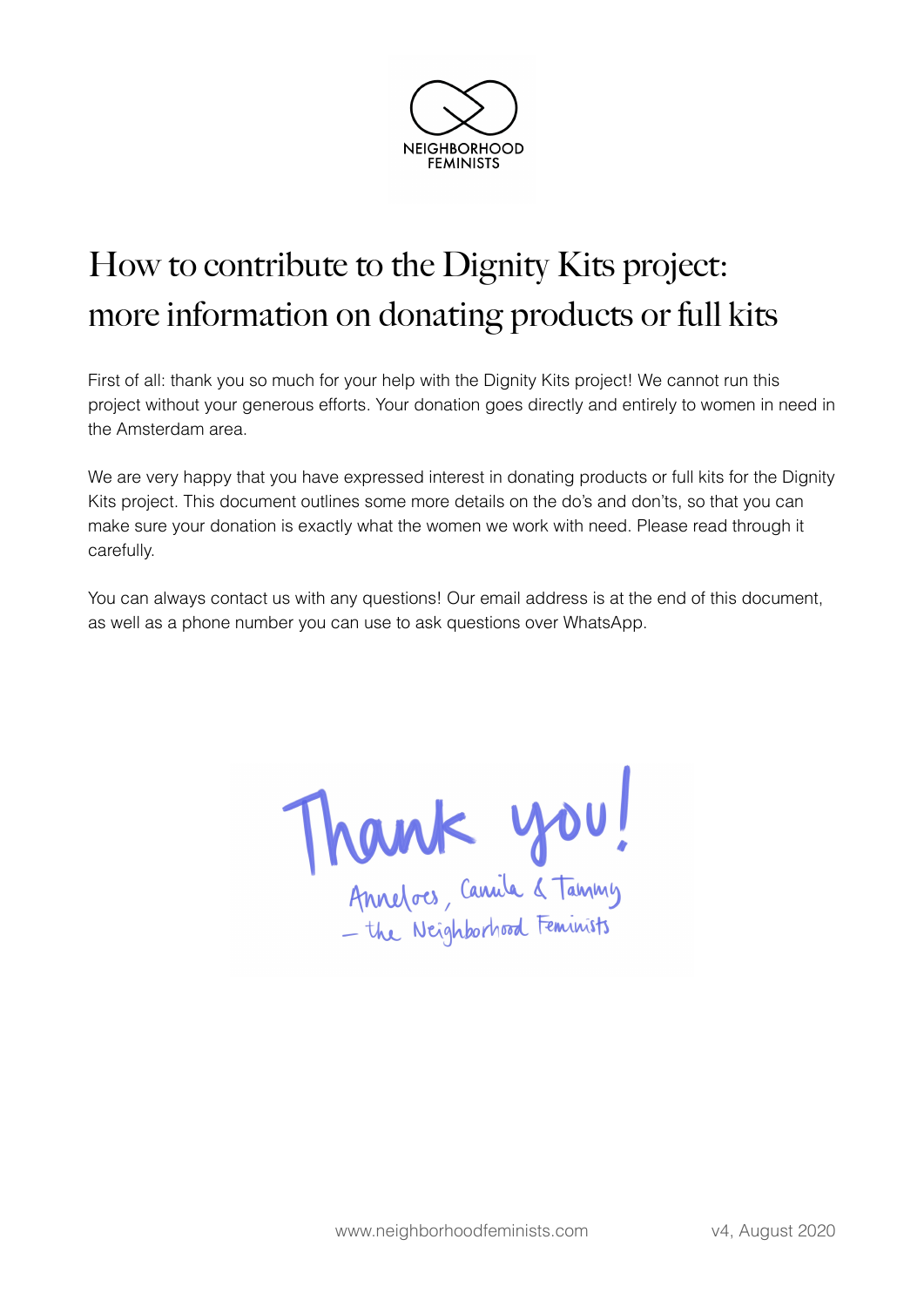

# How to contribute to the Dignity Kits project: more information on donating products or full kits

First of all: thank you so much for your help with the Dignity Kits project! We cannot run this project without your generous efforts. Your donation goes directly and entirely to women in need in the Amsterdam area.

We are very happy that you have expressed interest in donating products or full kits for the Dignity Kits project. This document outlines some more details on the do's and don'ts, so that you can make sure your donation is exactly what the women we work with need. Please read through it carefully.

You can always contact us with any questions! Our email address is at the end of this document, as well as a phone number you can use to ask questions over WhatsApp.

Thank you!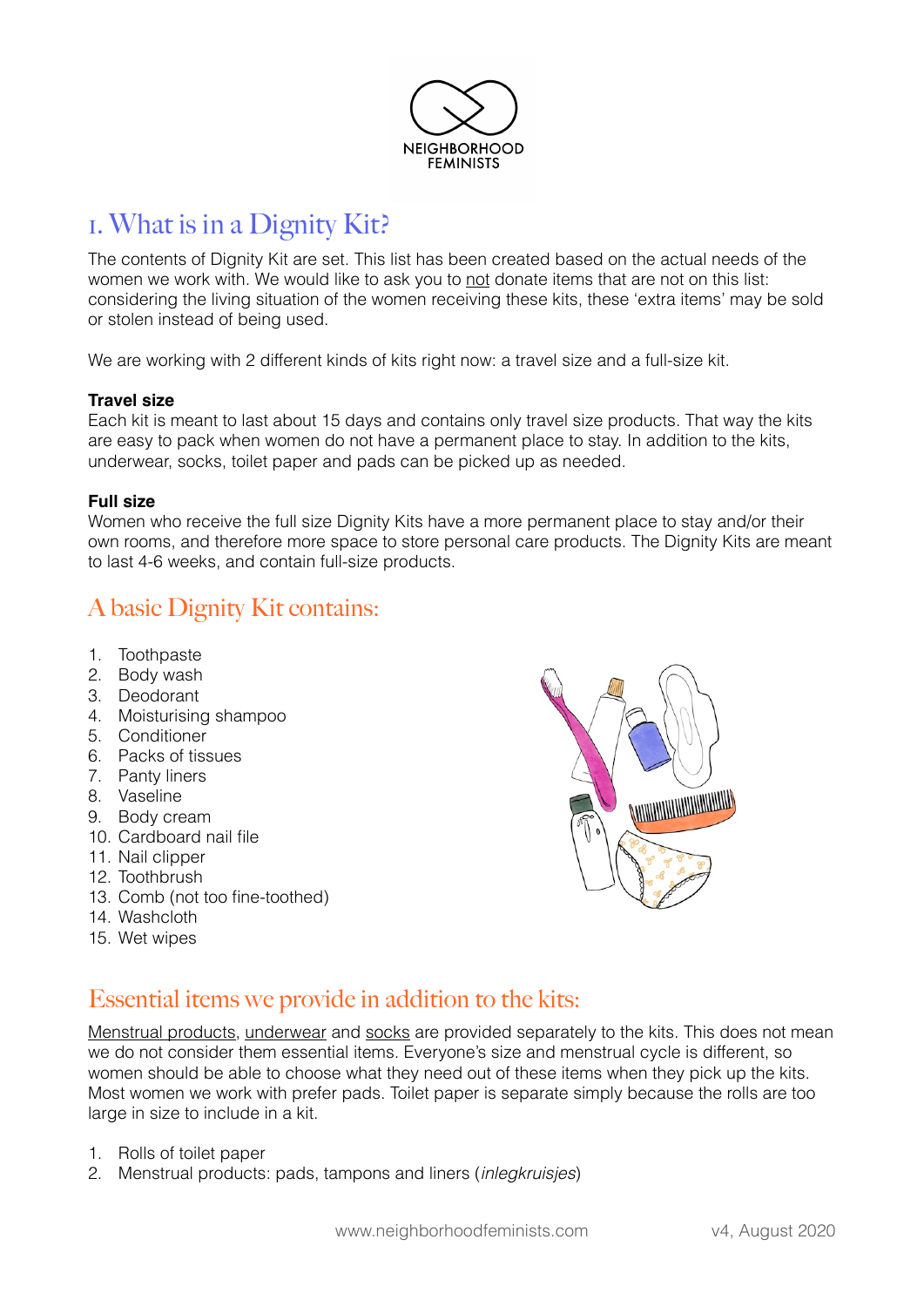

### 1. What is in a Dignity Kit?

The contents of Dignity Kit are set. This list has been created based on the actual needs of the women we work with. We would like to ask you to not donate items that are not on this list: considering the living situation of the women receiving these kits, these 'extra items' may be sold or stolen instead of being used.

We are working with 2 different kinds of kits right now: a travel size and a full-size kit.

#### **Travel size**

Each kit is meant to last about 15 days and contains only travel size products. That way the kits are easy to pack when women do not have a permanent place to stay. In addition to the kits, underwear, socks, toilet paper and pads can be picked up as needed.

#### **Full size**

Women who receive the full size Dignity Kits have a more permanent place to stay and/or their own rooms, and therefore more space to store personal care products. The Dignity Kits are meant to last 4-6 weeks, and contain full-size products.

### A basic Dignity Kit contains:

- 1. Toothpaste
- 2. Body wash
- 3. Deodorant
- 4. Moisturising shampoo
- 5. Conditioner
- 6. Packs of tissues
- 7. Panty liners
- 8. Vaseline
- 9. Body cream
- 10. Cardboard nail file
- 11. Nail clipper
- 12. Toothbrush
- 13. Comb (not too fine-toothed)
- 14. Washcloth
- 15. Wet wipes



#### Essential items we provide in addition to the kits:

Menstrual products, underwear and socks are provided separately to the kits. This does not mean we do not consider them essential items. Everyone's size and menstrual cycle is different, so women should be able to choose what they need out of these items when they pick up the kits. Most women we work with prefer pads. Toilet paper is separate simply because the rolls are too large in size to include in a kit.

- 1. Rolls of toilet paper
- 2. Menstrual products: pads, tampons and liners (*inlegkruisjes*)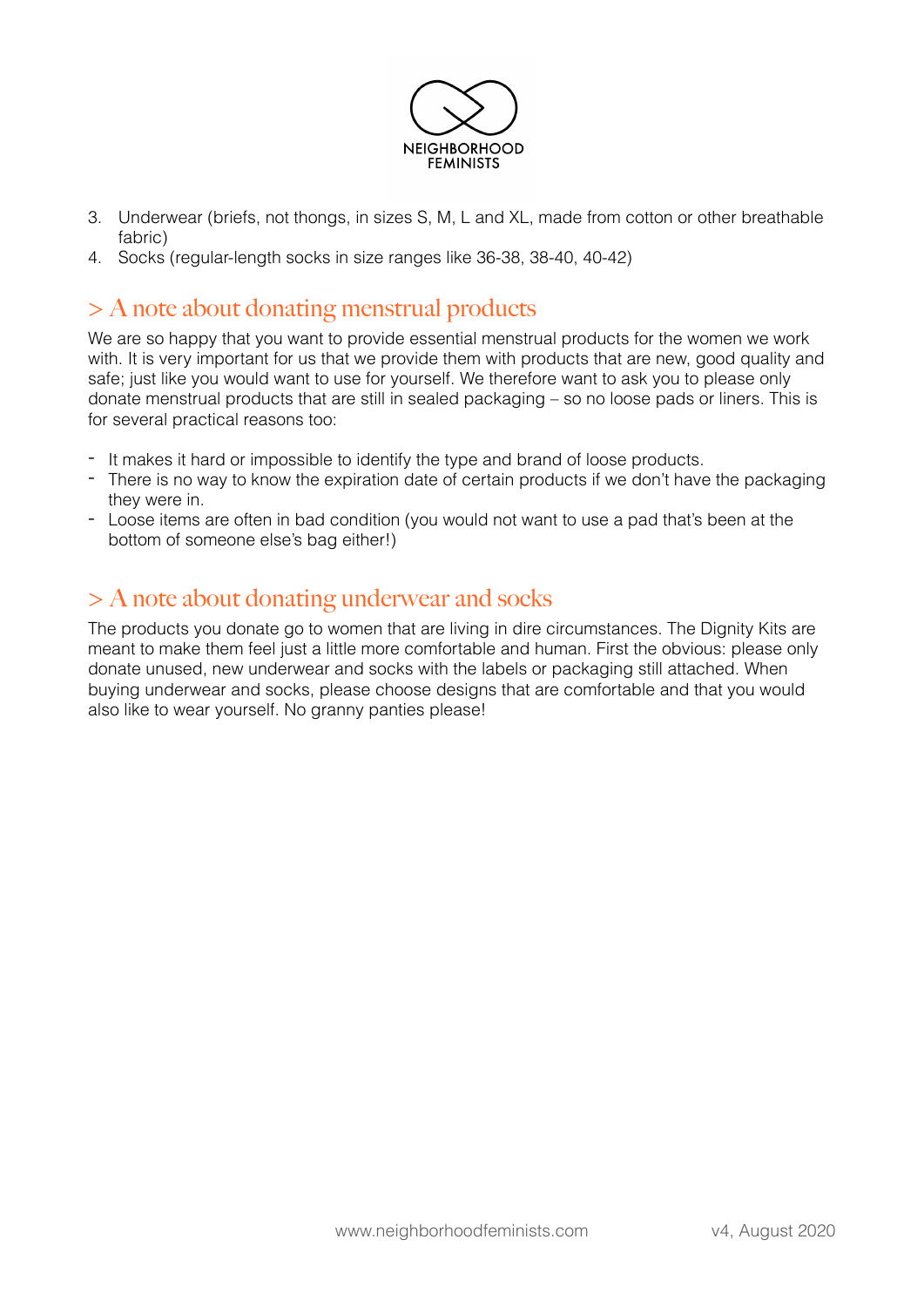

- 3. Underwear (briefs, not thongs, in sizes S, M, L and XL, made from cotton or other breathable fabric)
- 4. Socks (regular-length socks in size ranges like 36-38, 38-40, 40-42)

#### > A note about donating menstrual products

We are so happy that you want to provide essential menstrual products for the women we work with. It is very important for us that we provide them with products that are new, good quality and safe; just like you would want to use for yourself. We therefore want to ask you to please only donate menstrual products that are still in sealed packaging – so no loose pads or liners. This is for several practical reasons too:

- It makes it hard or impossible to identify the type and brand of loose products.
- There is no way to know the expiration date of certain products if we don't have the packaging they were in.
- Loose items are often in bad condition (you would not want to use a pad that's been at the bottom of someone else's bag either!)

### > A note about donating underwear and socks

The products you donate go to women that are living in dire circumstances. The Dignity Kits are meant to make them feel just a little more comfortable and human. First the obvious: please only donate unused, new underwear and socks with the labels or packaging still attached. When buying underwear and socks, please choose designs that are comfortable and that you would also like to wear yourself. No granny panties please!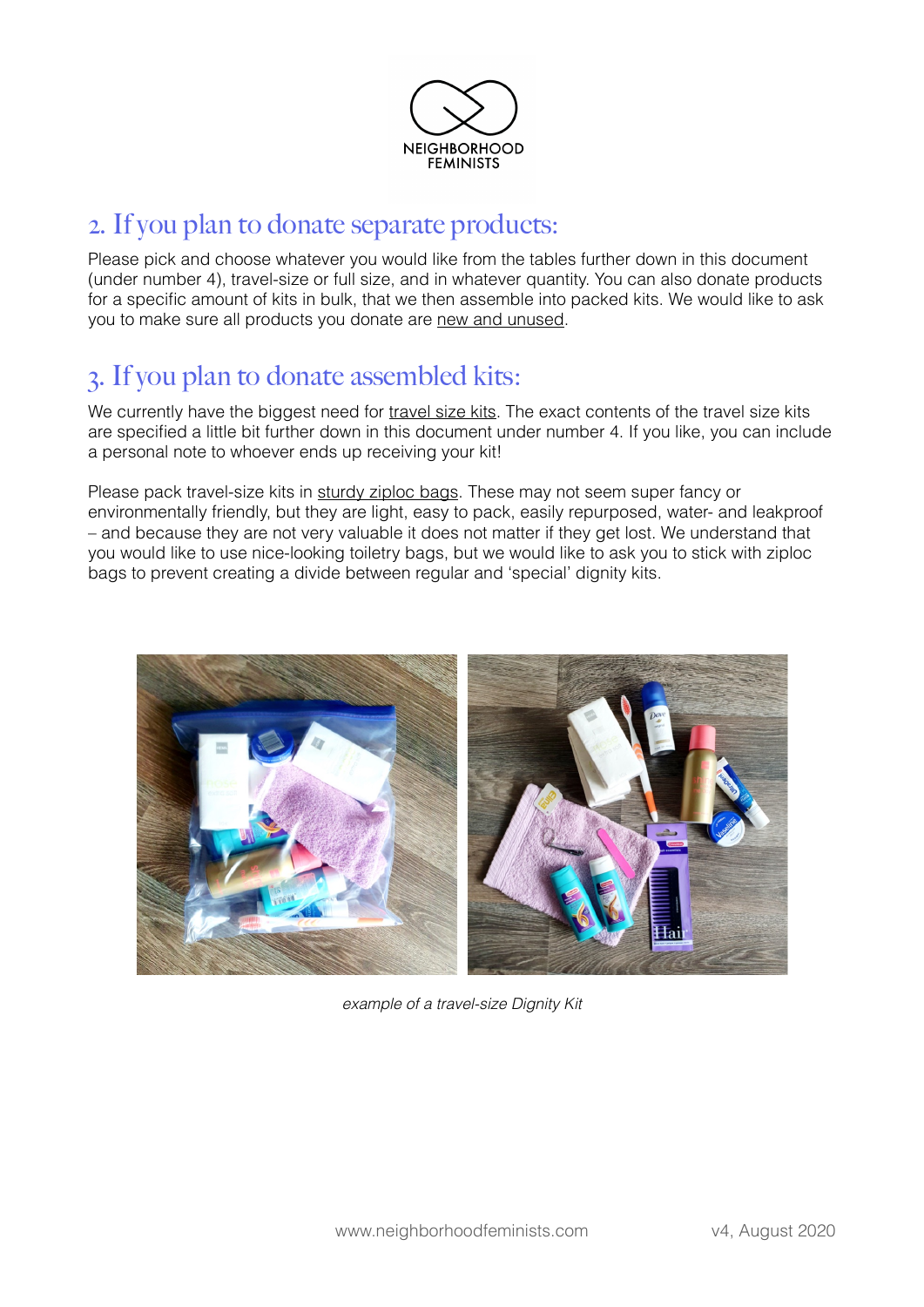

### 2. If you plan to donate separate products:

Please pick and choose whatever you would like from the tables further down in this document (under number 4), travel-size or full size, and in whatever quantity. You can also donate products for a specific amount of kits in bulk, that we then assemble into packed kits. We would like to ask you to make sure all products you donate are new and unused.

### 3. If you plan to donate assembled kits:

We currently have the biggest need for travel size kits. The exact contents of the travel size kits are specified a little bit further down in this document under number 4. If you like, you can include a personal note to whoever ends up receiving your kit!

Please pack travel-size kits in sturdy ziploc bags. These may not seem super fancy or environmentally friendly, but they are light, easy to pack, easily repurposed, water- and leakproof – and because they are not very valuable it does not matter if they get lost. We understand that you would like to use nice-looking toiletry bags, but we would like to ask you to stick with ziploc bags to prevent creating a divide between regular and 'special' dignity kits.



*example of a travel-size Dignity Kit*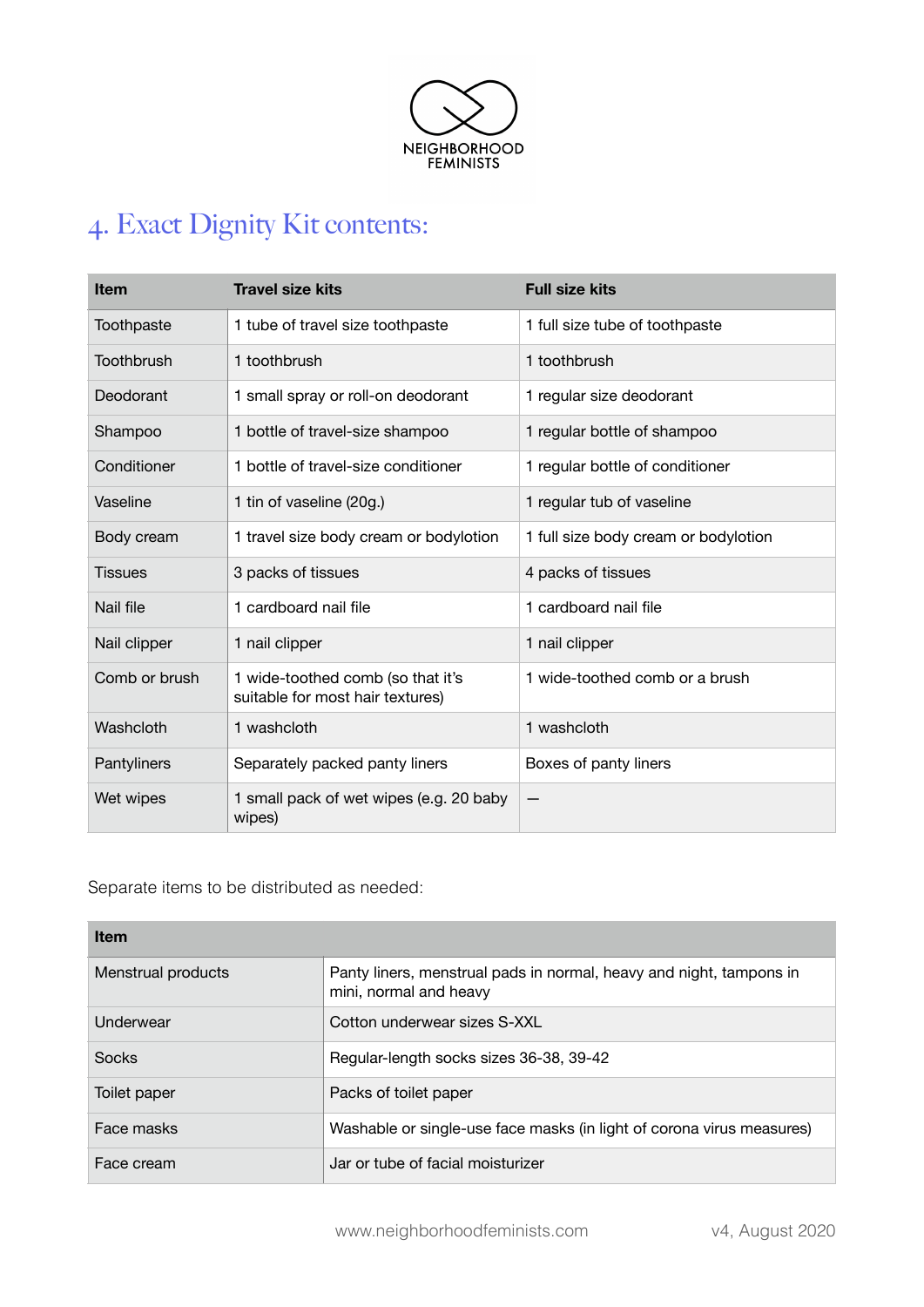

# 4. Exact Dignity Kit contents:

| <b>Item</b>   | <b>Travel size kits</b>                                               | <b>Full size kits</b>                |
|---------------|-----------------------------------------------------------------------|--------------------------------------|
| Toothpaste    | 1 tube of travel size toothpaste                                      | 1 full size tube of toothpaste       |
| Toothbrush    | 1 toothbrush                                                          | 1 toothbrush                         |
| Deodorant     | 1 small spray or roll-on deodorant                                    | 1 regular size deodorant             |
| Shampoo       | 1 bottle of travel-size shampoo                                       | 1 regular bottle of shampoo          |
| Conditioner   | 1 bottle of travel-size conditioner                                   | 1 regular bottle of conditioner      |
| Vaseline      | 1 tin of vaseline (20g.)                                              | 1 regular tub of vaseline            |
| Body cream    | 1 travel size body cream or bodylotion                                | 1 full size body cream or bodylotion |
| Tissues       | 3 packs of tissues                                                    | 4 packs of tissues                   |
| Nail file     | 1 cardboard nail file                                                 | 1 cardboard nail file                |
| Nail clipper  | 1 nail clipper                                                        | 1 nail clipper                       |
| Comb or brush | 1 wide-toothed comb (so that it's<br>suitable for most hair textures) | 1 wide-toothed comb or a brush       |
| Washcloth     | 1 washcloth                                                           | 1 washcloth                          |
| Pantyliners   | Separately packed panty liners                                        | Boxes of panty liners                |
| Wet wipes     | 1 small pack of wet wipes (e.g. 20 baby<br>wipes)                     |                                      |

Separate items to be distributed as needed:

| <b>Item</b>        |                                                                                               |  |
|--------------------|-----------------------------------------------------------------------------------------------|--|
| Menstrual products | Panty liners, menstrual pads in normal, heavy and night, tampons in<br>mini, normal and heavy |  |
| Underwear          | Cotton underwear sizes S-XXL                                                                  |  |
| Socks              | Regular-length socks sizes 36-38, 39-42                                                       |  |
| Toilet paper       | Packs of toilet paper                                                                         |  |
| Face masks         | Washable or single-use face masks (in light of corona virus measures)                         |  |
| Face cream         | Jar or tube of facial moisturizer                                                             |  |